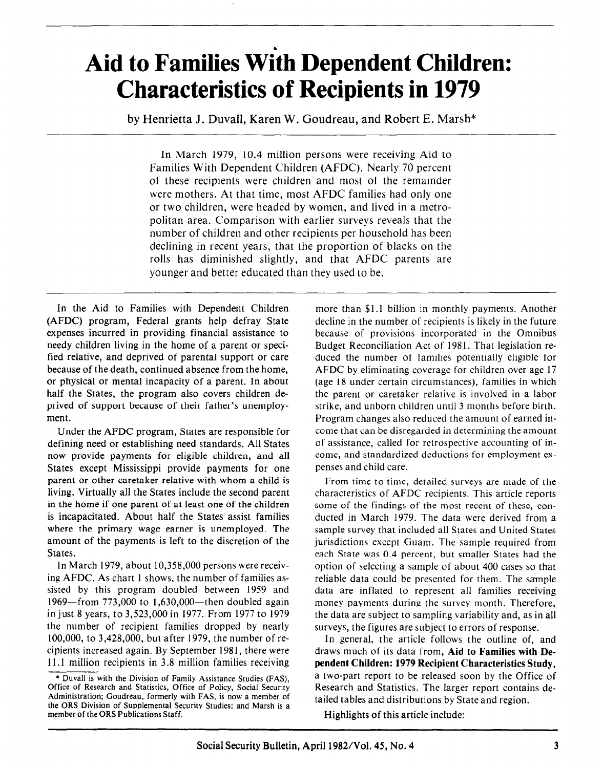# Aid to Families Width Dependent Children: Characteristics of Recipients in 1979

by Henrietta J. Duvall, Karen W. Goudreau, and Robert E. Marsh\*

In March 1979, 10.4 million persons were receiving Aid to Families With Dependent Children (AFDC). Nearly 70 percent of these recipients were children and most of the remainder were mothers. At that time, most AFDC families had only one or two children, were headed by women, and lived in a metropolitan area. Comparison with earlier surveys reveals that the number of children and other recipients per household has been declining in recent years, that the proportion of blacks on the rolls has diminished slightly, and that AFDC parents are younger and better educated than they used to be.

In the Aid to Families with Dependent Children (AFDC) program, Federal grants help defray State expenses incurred in providing financial assistance to needy children living in the home of a parent or specified relative, and deprived of parental support or care because of the death, continued absence from the home, or physical or mental incapacity of a parent. In about half the States, the program also covers children deprived of support because of their father's unemployment.

Under the AFDC program, States are responsible for defining need or establishing need standards. All States now provide payments for eligible children, and all States except Mississippi provide payments for one parent or other caretaker relative with whom a child is living. Virtually all the States include the second parent in the home if one parent of at least one of the children is incapacitated. About half the States assist families where the primary wage earner is unemployed. The amount of the payments is left to the discretion of the States.

In March 1979, about 10,358,OOO persons were receiving AFDC. As chart 1 shows, the number of families assisted by this program doubled between 1959 and 1969-from 773,000 to 1,630,000-then doubled again in just 8 years, to 3,523,OOO in 1977. From 1977 to 1979 the number of recipient families dropped by nearly 100,000, to 3,428,000, but after 1979, the number of recipients increased again. By September 1981, there were 11 .l million recipients in 3.8 million families receiving

more than \$1.1 billion in monthly payments. Another decline in the number of recipients is likely in the future because of provisions incorporated in the Omnibus Budget Reconciliation Act of 1981. That legislation reduced the number of families potentially eligible for AFDC by eliminating coverage for children over age 17 (age 18 under certain circumstances), families in which the parent or caretaker relative is involved in a labor strike, and unborn children until 3 months before birth. Program changes also reduced the amount of earned income that can be disregarded in determining the amount of assistance, called for retrospective accounting of income, and standardized deductions for employment expenses and child care.

From time to time, detailed surveys are made of the characteristics of AFDC recipients. This article reports some of the findings of the most recent of these, conducted in March 1979. The data were derived from a sample survey that included all States and United States jurisdictions except Guam. The sample required from each State was 0.4 percent, but smaller States had the option of selecting a sample of about 400 cases so that reliable data could be presented for them. The sample data are inflated to represent all families receiving money payments during the survey month. Therefore, the data are subject to sampling variability and, as in all surveys, the figures are subject to errors of response.

In general, the article follows the outline of, and draws much of its data from, Aid to Families with Dependent Children: 1979 Recipient Characteristics Study, a two-part report to be released soon by the Office of Research and Statistics. The larger report contains detailed tables and distributions by State and region.

Highlights of this article include:

<sup>\*</sup> Duvall is with the Division of Family Assistance Studies (FAS)? Office of Research and Statistics, Office of Policy, Social Security Administration; Goudreau, formerly with FAS, is now a member of the ORS Division of Supplemental Security Studies; and Marsh is a member of the ORS Publications Staff.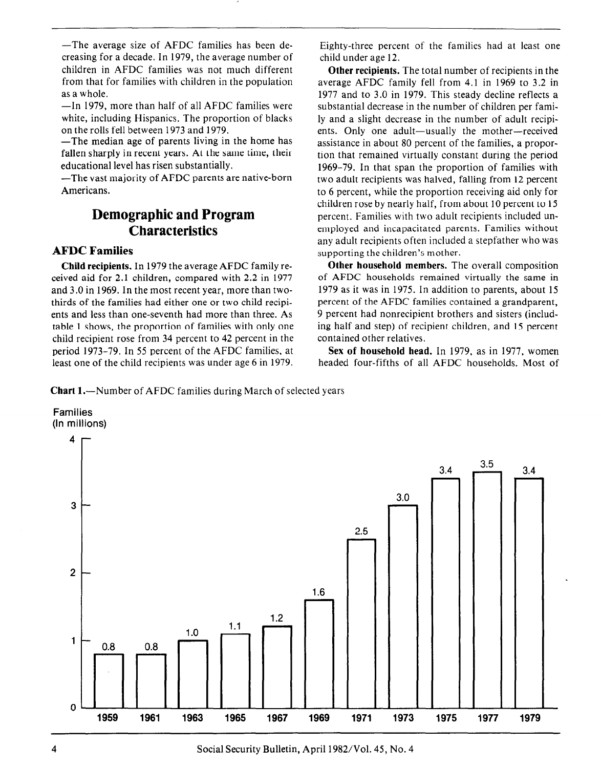-The average size of AFDC families has been decreasing for a decade. In 1979, the average number of children in AFDC families was not much different from that for families with children in the population as a whole.

-In 1979, more than half of all AFDC families were white, including Hispanics. The proportion of blacks on the rolls fell between 1973 and 1979.

-The median age of parents living in the home has fallen sharply in recent years. At the same time, their educational level has risen substantially.

-The vast majority of AFDC parents are native-born Americans.

## Demographic and Program **Characteristics**

## AFDC Families

Child recipients. In 1979 the average AFDC family received aid for 2.1 children, compared with 2.2 in 1977 and 3.0 in 1969. In the most recent year, more than twothirds of the families had either one or two child recipients and less than one-seventh had more than three. As table 1 shows, the proportion of families with only one child recipient rose from 34 percent to 42 percent in the period 1973-79. In 55 percent of the AFDC families, at least one of the child recipients was under age 6 in 1979.

Eighty-three percent of the families had at least one child under age 12.

Other recipients. The total number of recipients in the average AFDC family fell from 4.1 in 1969 to 3.2 in 1977 and to 3.0 in 1979. This steady decline reflects a substantial decrease in the number of children per family and a slight decrease in the number of adult recipients. Only one adult-usually the mother-received assistance in about 80 percent of the families, a proportion that remained virtually constant during the period 1969-79. In that span the proportion of families with two adult recipients was halved, falling from 12 percent to 6 percent, while the proportion receiving aid only for children rose by nearly half, from about 10 percent to 15 percent. Families with two adult recipients included unemployed and incapacitated parents. Families without any adult recipients often included a stepfather who was supporting the children's mother.

Other household members. The overall composition of AFDC households remained virtually the same in 1979 as it was in 1975. In addition to parents, about 15 percent of the AFDC families contained a grandparent, 9 percent had nonrecipient brothers and sisters (including half and step) of recipient children, and 15 percent contained other relatives.

Sex of household head. In 1979, as in 1977, women headed four-fifths of all AFDC households. Most of

**Chart 1.**—Number of AFDC families during March of selected years

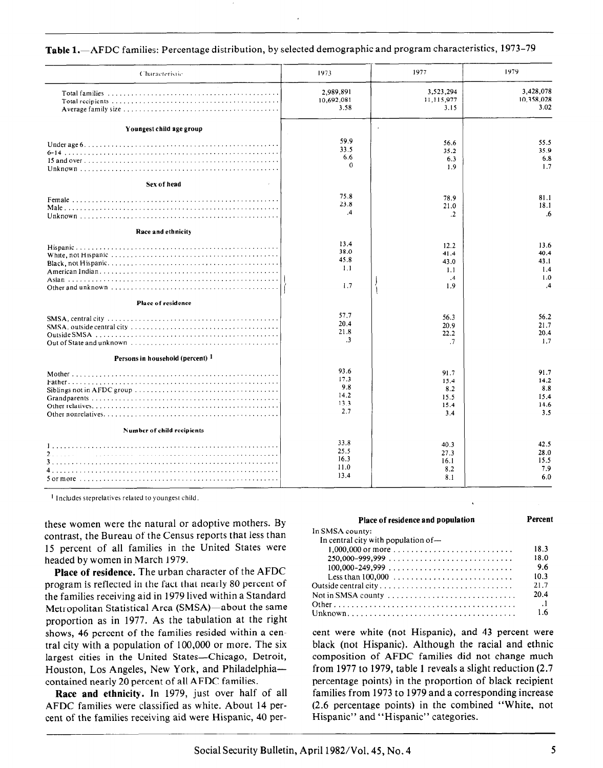| Characteristic                   | 1973                                       | 1977                                          | 1979                                            |
|----------------------------------|--------------------------------------------|-----------------------------------------------|-------------------------------------------------|
|                                  | 2.989,891<br>10,692,081<br>3.58            | 3,523,294<br>11,115,977<br>3.15               | 3,428,078<br>10,358,028<br>3.02                 |
| Youngest child age group         |                                            |                                               |                                                 |
|                                  | 59.9<br>33.5<br>6.6<br>0                   | 56.6<br>35.2<br>6.3<br>1.9                    | 55.5<br>35.9<br>6.8<br>1.7                      |
| Sex of head                      |                                            |                                               |                                                 |
|                                  | 75.8<br>23.8<br>.4                         | 78.9<br>21.0<br>.2                            | 81.1<br>18.1<br>.6                              |
| Race and ethnicity               |                                            |                                               |                                                 |
|                                  | 13.4<br>38.0<br>45.8<br>1.1<br>1.7         | 12.2<br>41.4<br>43.0<br>1.1<br>$\cdot$<br>1.9 | 13.6<br>40.4<br>43.1<br>1.4<br>1.0<br>$\cdot$ 4 |
| Place of residence               |                                            |                                               |                                                 |
|                                  | 57.7<br>20.4<br>21.8<br>$\cdot$ 3          | 56.3<br>20.9<br>22.2<br>$\cdot$ 7             | 56.2<br>21.7<br>20.4<br>1.7                     |
| Persons in household (percent) 1 |                                            |                                               |                                                 |
|                                  | 93.6<br>17.3<br>9.8<br>14.2<br>13.3<br>2.7 | 91.7<br>15.4<br>8.2<br>15.5<br>15.4<br>3.4    | 91.7<br>14.2<br>8.8<br>15.4<br>14.6<br>3.5      |
| Number of child recipients       |                                            |                                               |                                                 |
|                                  | 33.8<br>25.5<br>16.3<br>11.0<br>13.4       | 40.3<br>27.3<br>16.1<br>8.2<br>8.1            | 42.5<br>28.0<br>15.5<br>7.9<br>6.0              |

Table 1.-AFDC families: Percentage distribution, by selected demographic and program characteristics, 1973-79

l Includes steprelatives related to youngest child.

these women were the natural or adoptive mothers. By contrast, the Bureau of the Census reports that less than 15 percent of all families in the United States were headed by women in March 1979.

Place of residence. The urban character of the AFDC program is reflected in the fact that nearly 80 percent of the families receiving aid in 1979 lived within a Standard Metropolitan Statistical Area (SMSA)-about the same proportion as in 1977. As the tabulation at the right shows, 46 percent of the families resided within a central city with a population of 100,000 or more. The six largest cities in the United States-Chicago, Detroit, Houston, Los Angeles, New York, and Philadelphiacontained nearly 20 percent of all AFDC families.

Race and ethnicity. In 1979, just over half of all AFDC families were classified as white. About 14 percent of the families receiving aid were Hispanic, 40 per-

| Place of residence and population                                                   | Percent   |
|-------------------------------------------------------------------------------------|-----------|
| In SMSA county:                                                                     |           |
| In central city with population of $-$                                              |           |
| $1,000,000$ or more                                                                 | 18.3      |
| $250.000 - 999.999$                                                                 | 18.0      |
| $100.000 - 249.999 \ldots  \ldots  \ldots  \ldots $                                 | 9.6       |
| Less than $100,000$ ,                                                               | 10.3      |
| Outside central city                                                                | 21.7      |
| Not in SMSA county $\ldots \ldots \ldots \ldots \ldots \ldots \ldots \ldots \ldots$ | 20.4      |
|                                                                                     | $\cdot$ 1 |
|                                                                                     | 1.6       |

cent were white (not Hispanic), and 43 percent were black (not Hispanic). Although the racial and ethnic composition of AFDC families did not change much from 1977 to 1979, table 1 reveals a slight reduction (2.7 percentage points) in the proportion of black recipient families from 1973 to 1979 and a corresponding increase (2.6 percentage points) in the combined "White, not Hispanic" and "Hispanic" categories.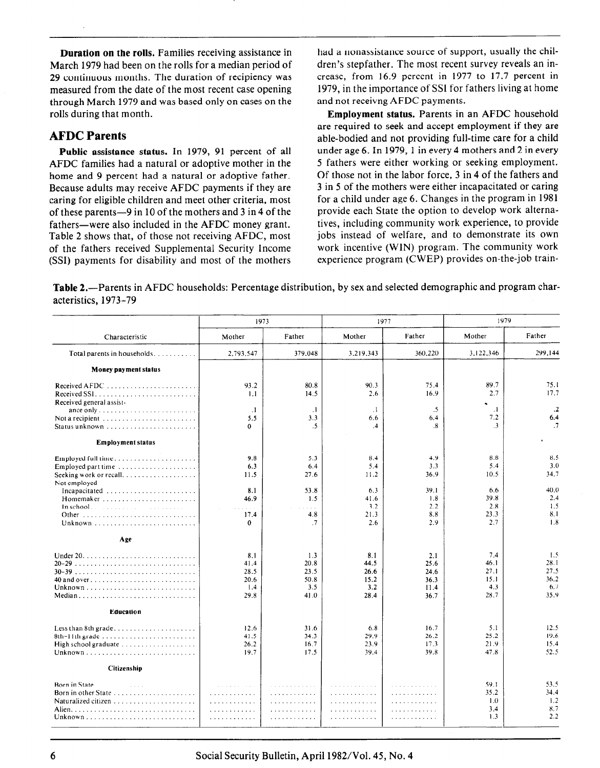Duration on the rolls. Families receiving assistance in March 1979 had been on the rolls for a median period of 29 continuous months. The duration of recipiency was measured from the date of the most recent case opening through March 1979 and was based only on cases on the rolls during that month.

## AFDC Parents

Public assistance status. In 1979, 91 percent of all AFDC families had a natural or adoptive mother in the home and 9 percent had a natural or adoptive father. Because adults may receive AFDC payments if they are caring for eligible children and meet other criteria, most of these parents-9 in 10 of the mothers and 3 in 4 of the fathers—were also included in the AFDC money grant. Table 2 shows that, of those not receiving AFDC, most of the fathers received Supplemental Security Income (SSI) payments for disability and most of the mothers

had a nonassistance source of support, usually the children's stepfather. The most recent survey reveals an increase, from 16.9 percent in 1977 to 17.7 percent in 1979, in the importance of SSI for fathers living at home and not receivng AFDC payments.

Employment status. Parents in an AFDC household are required to seek and accept employment if they are able-bodied and not providing full-time care for a child under age 6. In 1979, 1 in every 4 mothers and 2 in every 5 fathers were either working or seeking employment. Of those not in the labor force, 3 in 4 of the fathers and 3 in 5 of the mothers were either incapacitated or caring for a child under age 6. Changes in the program in 1981 provide each State the option to develop work alternatives, including community work experience, to provide jobs instead of welfare, and to demonstrate its own work incentive (WIN) program. The community work experience program (CWEP) provides on-the-job train-

Table 2.—Parents in AFDC households: Percentage distribution, by sex and selected demographic and program characteristics, 1973-79

|                                                                                                                                                                                                             | 1973                                                |                                                |                                                         | 1977                                                   | 1979                                                    |                                                        |
|-------------------------------------------------------------------------------------------------------------------------------------------------------------------------------------------------------------|-----------------------------------------------------|------------------------------------------------|---------------------------------------------------------|--------------------------------------------------------|---------------------------------------------------------|--------------------------------------------------------|
| Characteristic                                                                                                                                                                                              | Mother                                              | Father                                         | Mother                                                  | Father                                                 | Mother                                                  | Father                                                 |
| Total parents in households.                                                                                                                                                                                | 2,793,547                                           | 379,048                                        | 3,219,343                                               | 360,220                                                | 3,122,346                                               | 299,144                                                |
| Money payment status                                                                                                                                                                                        |                                                     |                                                |                                                         |                                                        |                                                         |                                                        |
| Received general assist-                                                                                                                                                                                    | 93.2<br>1.1                                         | 80.8<br>14.5                                   | 90.3<br>2.6                                             | 75.4<br>16.9                                           | 89.7<br>2.7                                             | 75.1<br>17.7                                           |
| ance only $\ldots \ldots \ldots \ldots \ldots \ldots \ldots$<br>Not a recipient $\ldots \ldots \ldots \ldots \ldots \ldots$<br>Status unknown $\ldots \ldots \ldots \ldots \ldots \ldots$                   | $\cdot$ 1<br>5.5<br>$\Omega$                        | $\cdot$<br>3.3<br>$\cdot$                      | $\cdot$ 1<br>6.6<br>.4                                  | $.5\,$<br>6.4<br>$\boldsymbol{.8}$                     | $\cdot$<br>7.2<br>$\cdot$ <sub>3</sub>                  | $\cdot$ .2<br>6.4<br>$\cdot$ 7                         |
| <b>Employment status</b>                                                                                                                                                                                    |                                                     |                                                |                                                         |                                                        |                                                         |                                                        |
| Employed full time<br>Employed part time $\ldots \ldots \ldots \ldots \ldots \ldots$<br>Seeking work or recall. $\ldots$<br>Not employed-<br>Incapacitated<br>Homemaker<br>$In school.           $<br>Other | 9.8<br>6.3<br>11.5<br>8.1<br>46.9<br>.<br>17.4<br>0 | 5.3<br>6.4<br>27.6<br>53.8<br>1.5<br>4.8<br>.7 | 8.4<br>5.4<br>11.2<br>6.3<br>41.6<br>3.2<br>21.3<br>2.6 | 4.9<br>3.3<br>36.9<br>39.1<br>1.8<br>2.2<br>8.8<br>2.9 | 8.8<br>5.4<br>10.5<br>6.6<br>39.8<br>2.8<br>23.3<br>2.7 | 8.5<br>3.0<br>34.7<br>40.0<br>2.4<br>1.5<br>8.1<br>1.8 |
| Age                                                                                                                                                                                                         |                                                     |                                                |                                                         |                                                        |                                                         |                                                        |
| Median                                                                                                                                                                                                      | 8.1<br>41.4<br>28.5<br>20.6<br>1.4<br>29.8          | 1.3<br>20.8<br>23.5<br>50.8<br>3.5<br>41.0     | 8.1<br>44.5<br>26.6<br>15.2<br>3.2<br>28.4              | 2.1<br>25.6<br>24.6<br>36.3<br>11.4<br>36.7            | 7.4<br>46.1<br>27.1<br>15.1<br>4.3<br>28.7              | 1.5<br>28.1<br>27.5<br>36.2<br>6.7<br>35.9             |
| Education                                                                                                                                                                                                   |                                                     |                                                |                                                         |                                                        |                                                         |                                                        |
| $8th-11th$ grade<br>High school graduate $\ldots \ldots \ldots \ldots \ldots$                                                                                                                               | 12.6<br>41.5<br>26.2<br>19.7                        | 31.6<br>34.3<br>16.7<br>17.5                   | 6.8<br>29.9<br>23.9<br>39.4                             | 16.7<br>26.2<br>17.3<br>39.8                           | 5.1<br>25.2<br>21.9<br>47.8                             | 12.5<br>19.6<br>15.4<br>52.5                           |
| Citizenship                                                                                                                                                                                                 |                                                     |                                                |                                                         |                                                        |                                                         |                                                        |
|                                                                                                                                                                                                             | .<br>.<br>.<br>. <i>.</i> . <i>.</i><br>.           | .<br>.<br>.<br>.<br>.                          | .<br><u>.</u><br>.<br>.                                 | a a a a a a a a a a a a<br>.<br>.<br>.<br>.            | 59.1<br>35.2<br>1.0<br>3.4<br>1.3                       | 53.5<br>34.4<br>1.2<br>8.7<br>2.2                      |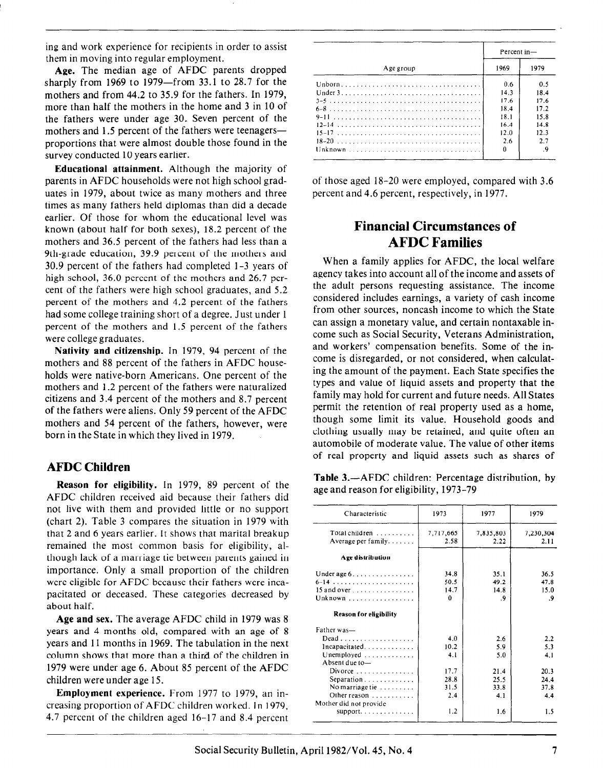ing and work experience for recipients in order to assist them in moving into regular employment.

Age. The median age of AFDC parents dropped sharply from 1969 to 1979-from 33.1 to 28.7 for the mothers and from 44.2 to 35.9 for the fathers. In 1979, more than half the mothers in the home and 3 in 10 of the fathers were under age 30. Seven percent of the mothers and 1.5 percent of the fathers were teenagersproportions that were almost double those found in the survey conducted 10 years earlier.

Educational attainment. Although the majority of parents in AFDC households were not high school graduates in 1979, about twice as many mothers and three times as many fathers held diplomas than did a decade earlier. Of those for whom the educational level was known (about half for both sexes), 18.2 percent of the mothers and 36.5 percent of the fathers had less than a 9th-grade education, 39.9 percent of the mothers and 30.9 percent of the fathers had completed l-3 years of high school, 36.0 percent of the mothers and 26.7 percent of the fathers were high school graduates, and 5.2 percent of the mothers and 4.2 percent of the fathers had some college training short of a degree. Just under 1 percent of the mothers and 1.5 percent of the fathers were college graduates.

Nativity and citizenship. In 1979, 94 percent of the mothers and 88 percent of the fathers in AFDC households were native-born Americans. One percent of the mothers and 1.2 percent of the fathers were naturalized citizens and 3.4 percent of the mothers and 8.7 percent of the fathers were aliens. Only 59 percent of the AFDC mothers and 54 percent of the fathers, however, were born in the State in which they lived in 1979.

## AFDC Children

Reason for eligibility. In 1979, 89 percent of the AFDC children received aid because their fathers did not live with them and provided little or no support (chart 2). Table 3 compares the situation in 1979 with that 2 and 6 years earlier. It shows that marital breakup remained the most common basis for eligibility, although lack of a marriage tie between parents gained in importance. Only a small proportion of the children were eligible for AFDC because their fathers were incapacitated or deceased. These categories decreased by about half.

Age and sex. The average AFDC child in 1979 was 8 years and 4 months old, compared with an age of 8 years and 11 months in 1969. The tabulation in the next column shows that more than a third of the children in 1979 were under age 6. About 85 percent of the AFDC children were under age 15.

Employment experience. From 1977 to 1979, an increasing proportion of AFDC children worked. In 1979, 4.7 percent of the children aged 16-17 and 8.4 percent

|           | Percent in- |      |  |
|-----------|-------------|------|--|
| Age group | 1969        | 1979 |  |
|           | 0.6         | 0.5  |  |
|           | 14.3        | 18.4 |  |
|           | 17.6        | 17.6 |  |
|           | 18.4        | 17.2 |  |
|           | 18.1        | 15.8 |  |
|           | 16.4        | 14.8 |  |
|           | 12.0        | 12.3 |  |
|           | 2.6         | 2.7  |  |
|           | n           |      |  |

of those aged 18-20 were employed, compared with 3.6 percent and 4.6 percent, respectively, in 1977.

## Financial Circumstances of AFDC Families

When a family applies for AFDC, the local welfare agency takes into account all of the income and assets of the adult persons requesting assistance. The income considered includes earnings, a variety of cash income from other sources, noncash income to which the State can assign a monetary value, and certain nontaxable income such as Social Security, Veterans Administration, and workers' compensation benefits. Some of the income is disregarded, or not considered, when calculating the amount of the payment. Each State specifies the types and value of liquid assets and property that the family may hold for current and future needs. All States permit the retention of real property used as a home, though some limit its value. Household goods and clothing usually may be retained, and quite often an automobile of moderate value. The value of other items of real property and liquid assets such as shares of

Table 3.—AFDC children: Percentage distribution, by age and reason for eligibility, 1973-79

| Characteristic                                                                                                                                                                                                                                    | 1973                                              | 1977                                             | 1979                                                    |  |
|---------------------------------------------------------------------------------------------------------------------------------------------------------------------------------------------------------------------------------------------------|---------------------------------------------------|--------------------------------------------------|---------------------------------------------------------|--|
| Total children $\ldots \ldots \ldots$<br>Average per family. $\dots$                                                                                                                                                                              | 7,717,665<br>2.58                                 | 7,835,803<br>2.22                                | 7,230,304<br>2.11                                       |  |
| Age distribution                                                                                                                                                                                                                                  |                                                   |                                                  |                                                         |  |
| Under age $6 \ldots \ldots \ldots \ldots$<br>15 and over $\ldots \ldots \ldots \ldots$<br>Unknown, $\ldots$ , $\ldots$ , $\ldots$ , $\ldots$                                                                                                      | 34.8<br>50.5<br>14.7<br>0                         | 35.1<br>49.2<br>14.8<br>. 9                      | 36.5<br>47.8<br>15.0<br>.9                              |  |
| <b>Reason for eligibility</b>                                                                                                                                                                                                                     |                                                   |                                                  |                                                         |  |
| Father was-<br>$Dead \ldots \ldots \ldots \ldots \ldots \ldots$<br>Unemployed<br>Absent due to-<br>Divorce $\ldots \ldots \ldots \ldots$<br>Separation $\ldots \ldots \ldots \ldots$<br>No marriage tie<br>Other reason<br>Mother did not provide | 4.0<br>10.2<br>4.1<br>17.7<br>28.8<br>31.5<br>2.4 | 2.6<br>5.9<br>5.0<br>21.4<br>25.5<br>33.8<br>4.1 | 2.2<br>5.3<br>4.1<br>20.3<br>24.4<br>37.8<br>4.4<br>1.5 |  |
| support. $\ldots \ldots \ldots$                                                                                                                                                                                                                   | 1.2                                               | 1.6                                              |                                                         |  |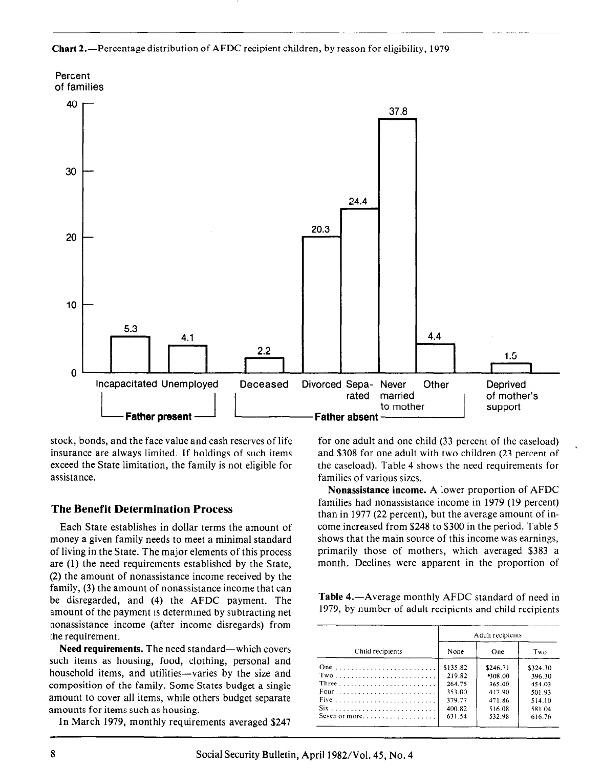**Chart 2.**—Percentage distribution of AFDC recipient children, by reason for eligibility, 1979



stock, bonds, and the face value and cash reserves of life insurance are always limited. If holdings of such items exceed the State limitation, the family is not eligible for assistance.

## The Benefit Determination Process

Each State establishes in dollar terms the amount of money a given family needs to meet a minimal standard of living in the State. The major elements of this process are (1) the need requirements established by the State, (2) the amount of nonassistance income received by the family, (3) the amount of nonassistance income that can be disregarded, and (4) the AFDC payment. The amount of the payment is determined by subtracting net nonassistance income (after income disregards) from the requirement.

Need requirements. The need standard-which covers such items as housing, food, clothing, personal and household items, and utilities—varies by the size and composition of the family. Some States budget a single amount to cover all items, while others budget separate amounts for items such as housing.

In March 1979, monthly requirements averaged \$247

for one adult and one child (33 percent of the caseload) and \$308 for one adult with two children (23 percent of the caseload). Table 4 shows the need requirements for families of various sizes.

Nonassistance income. A lower proportion of AFDC families had nonassistance income in 1979 (19 percent) than in 1977 (22 percent), but the average amount of income increased from \$248 to \$300 in the period. Table 5 shows that the main source of this income was earnings, primarily those of mothers, which averaged \$383 a month. Declines were apparent in the proportion of

**Table 4.**—Average monthly AFDC standard of need in 1979, by number of adult recipients and child recipients

|                                                                 | Adult recipients |          |          |  |
|-----------------------------------------------------------------|------------------|----------|----------|--|
| Child recipients                                                | None             | One      | Two      |  |
|                                                                 | \$135.82         | \$246.71 | \$324.30 |  |
|                                                                 | 219.82           | 208.00   | 396.30   |  |
| Three $\ldots \ldots \ldots \ldots \ldots \ldots \ldots \ldots$ | 264.75           | 365.00   | 454.03   |  |
|                                                                 | 353.00           | 417.90   | 501.93   |  |
|                                                                 | 379.77           | 47186    | 514.10   |  |
|                                                                 | 400.82           | 516.08   | 581.04   |  |
|                                                                 | 631.54           | 532.98   | 616.76   |  |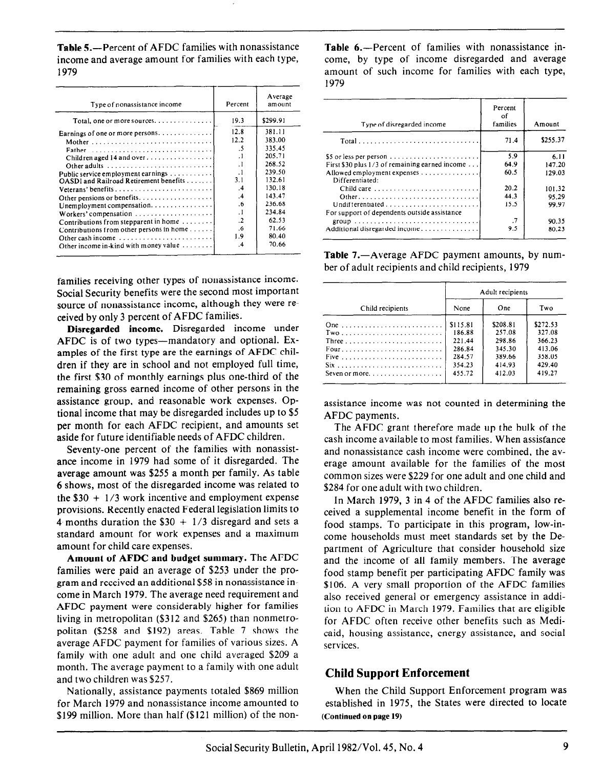Table 5.—Percent of AFDC families with nonassistance income and average amount for families with each type, 1979

| Type of nonassistance income                                                                                                                                                                                                                                                                                                                                                                                                                                                                                                                  | Percent                                                                                                                                            | Average<br>amount                                                                                                                              |
|-----------------------------------------------------------------------------------------------------------------------------------------------------------------------------------------------------------------------------------------------------------------------------------------------------------------------------------------------------------------------------------------------------------------------------------------------------------------------------------------------------------------------------------------------|----------------------------------------------------------------------------------------------------------------------------------------------------|------------------------------------------------------------------------------------------------------------------------------------------------|
| Total, one or more sources. $\ldots \ldots \ldots \ldots$                                                                                                                                                                                                                                                                                                                                                                                                                                                                                     | 19.3                                                                                                                                               | \$299.91                                                                                                                                       |
| Earnings of one or more persons. $\dots \dots \dots \dots$<br>Father<br>Children aged 14 and over<br>Other adults $\ldots \ldots \ldots \ldots \ldots \ldots \ldots$<br>Public service employment earnings<br>OASDI and Railroad Retirement benefits<br>Unemployment compensation. $\dots \dots \dots \dots$<br>Contributions from stepparent in home $\dots\dots\dots$<br>Contributions from other persons in home<br>Other cash income $\ldots \ldots \ldots \ldots \ldots \ldots$<br>Other income in-kind with money value $\ldots \ldots$ | 12.8<br>12.2<br>.5<br>$\cdot$<br>$\cdot$ 1<br>$\cdot$ 1<br>3.1<br>$\cdot$ 4<br>.4<br>.6<br>$\cdot$<br>$\cdot$<br>.6<br>1.9<br>$\cdot$ <sub>4</sub> | 381.11<br>383.00<br>335.45<br>205.71<br>268.52<br>239.50<br>132.61<br>130.18<br>143.47<br>236.68<br>234.84<br>62.53<br>71.66<br>80.40<br>70.66 |

families receiving other types of nonassistance income. Social Security benefits were the second most important source of nonassistance income, although they were received by only 3 percent of AFDC families.

Disregarded income. Disregarded income under AFDC is of two types—mandatory and optional. Examples of the first type are the earnings of AFDC children if they are in school and not employed full time, the first \$30 of monthly earnings plus one-third of the remaining gross earned income of other persons in the assistance group, and reasonable work expenses. Optional income that may be disregarded includes up to \$5 per month for each AFDC recipient, and amounts set aside for future identifiable needs of AFDC children.

Seventy-one percent of the families with nonassistance income in 1979 had some of it disregarded. The average amount was \$255 a month per family. As table 6 shows, most of the disregarded income was related to the  $$30 + 1/3$  work incentive and employment expense provisions. Recently enacted Federal legislation limits to 4 months duration the  $$30 + 1/3$  disregard and sets a standard amount for work expenses and a maximum amount for child care expenses.

Amount of AFDC and budget summary. The AFDC families were paid an average of \$253 under the program and received an additional \$58 in nonassistance income in March 1979. The average need requirement and AFDC payment were considerably higher for families living in metropolitan (\$312 and \$265) than nonmetropolitan (\$258 and \$192) areas. Table 7 shows the average AFDC payment for families of various sizes. A family with one adult and one child averaged \$209 a month. The average payment to a family with one adult and two children was \$257.

Nationally, assistance payments totaled \$869 million for March 1979 and nonassistance income amounted to \$199 million. More than half (\$121 million) of the nonTable 6.-Percent of families with nonassistance income, by type of income disregarded and average amount of such income for families with each type, 1979

| Type of disregarded income                                                    | Percent<br>οf<br>families | Amount   |
|-------------------------------------------------------------------------------|---------------------------|----------|
|                                                                               | 71.4                      | \$255.37 |
|                                                                               | 5.9                       | 6.11     |
| First \$30 plus $1/3$ of remaining earned income                              | 64.9                      | 147.20   |
| Allowed employment expenses<br>Differentiated:                                | 60.5                      | 129.03   |
|                                                                               | 20.2                      | 101.32   |
|                                                                               | 44.3                      | 95.29    |
|                                                                               | 15.5                      | 99.97    |
| For support of dependents outside assistance                                  |                           |          |
| group $\ldots \ldots \ldots \ldots \ldots \ldots \ldots \ldots \ldots \ldots$ | .7                        | 90.35    |
| Additional disregarded income                                                 | 9.5                       | 80.23    |

Table 7.—Average AFDC payment amounts, by number of adult recipients and child recipients, 1979

|                                                                                                                                                                                                                  | Adult recipients                                                     |                                                                      |                                                                      |  |
|------------------------------------------------------------------------------------------------------------------------------------------------------------------------------------------------------------------|----------------------------------------------------------------------|----------------------------------------------------------------------|----------------------------------------------------------------------|--|
| Child recipients                                                                                                                                                                                                 | None                                                                 | One                                                                  | Two                                                                  |  |
| Two<br>Three $\ldots \ldots \ldots \ldots \ldots \ldots \ldots \ldots$<br>Five $\ldots$ ,<br>$Six \dots \dots \dots \dots \dots \dots \dots \dots \dots \dots$<br>Seven or more. $\dots \dots \dots \dots \dots$ | \$115.81<br>186.88<br>221.44<br>286.84<br>284.57<br>354.23<br>455.72 | \$208.81<br>257.08<br>298.86<br>345.30<br>389.66<br>414.93<br>412.03 | \$272.53<br>327.08<br>366.23<br>413.06<br>358.05<br>429.40<br>419.27 |  |

assistance income was not counted in determining the AFDC payments.

The AFDC grant therefore made up the bulk of the cash income available to most families. When assistance and nonassistance cash income were combined, the average amount available for the families of the most common sizes were \$229 for one adult and one child and \$284 for one adult with two children.

In March 1979, 3 in 4 of the AFDC families also received a supplemental income benefit in the form of food stamps. To participate in this program, low-income households must meet standards set by the Department of Agriculture that consider household size and the income of all family members. The average food stamp benefit per participating AFDC family was \$106. A very small proportion of the AFDC families also received general or emergency assistance in addition to AFDC in March 1979. Families that are eligible for AFDC often receive other benefits such as Medicaid, housing assistance, energy assistance, and social services.

## Child Support Enforcement

When the Child Support Enforcement program was established in 1975, the States were directed to locate (Continued on page 19)